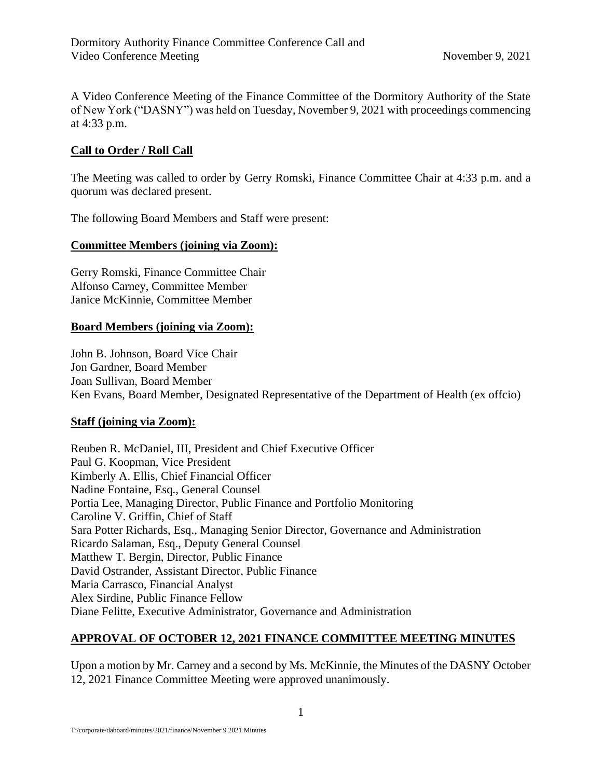A Video Conference Meeting of the Finance Committee of the Dormitory Authority of the State of New York ("DASNY") was held on Tuesday, November 9, 2021 with proceedings commencing at 4:33 p.m.

# **Call to Order / Roll Call**

The Meeting was called to order by Gerry Romski, Finance Committee Chair at 4:33 p.m. and a quorum was declared present.

The following Board Members and Staff were present:

## **Committee Members (joining via Zoom):**

Gerry Romski, Finance Committee Chair Alfonso Carney, Committee Member Janice McKinnie, Committee Member

## **Board Members (joining via Zoom):**

John B. Johnson, Board Vice Chair Jon Gardner, Board Member Joan Sullivan, Board Member Ken Evans, Board Member, Designated Representative of the Department of Health (ex offcio)

#### **Staff (joining via Zoom):**

Reuben R. McDaniel, III, President and Chief Executive Officer Paul G. Koopman, Vice President Kimberly A. Ellis, Chief Financial Officer Nadine Fontaine, Esq., General Counsel Portia Lee, Managing Director, Public Finance and Portfolio Monitoring Caroline V. Griffin, Chief of Staff Sara Potter Richards, Esq., Managing Senior Director, Governance and Administration Ricardo Salaman, Esq., Deputy General Counsel Matthew T. Bergin, Director, Public Finance David Ostrander, Assistant Director, Public Finance Maria Carrasco, Financial Analyst Alex Sirdine, Public Finance Fellow Diane Felitte, Executive Administrator, Governance and Administration

# **APPROVAL OF OCTOBER 12, 2021 FINANCE COMMITTEE MEETING MINUTES**

Upon a motion by Mr. Carney and a second by Ms. McKinnie, the Minutes of the DASNY October 12, 2021 Finance Committee Meeting were approved unanimously.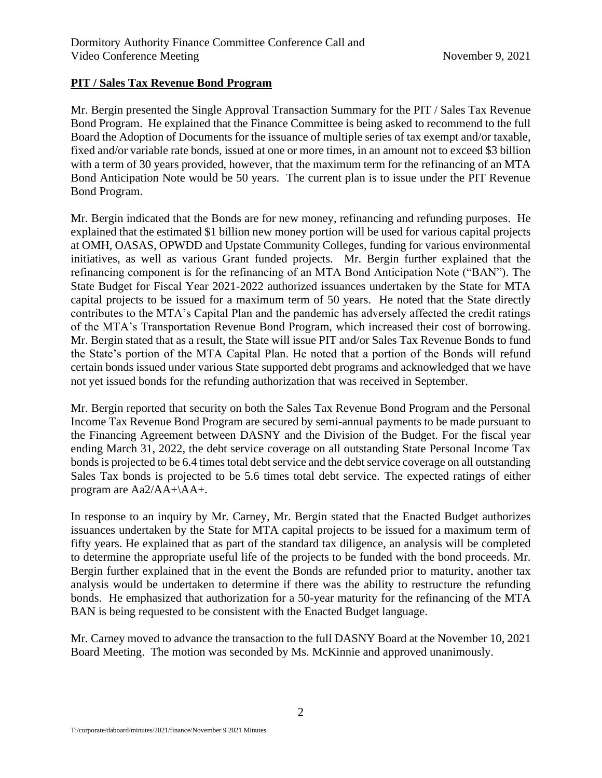# **PIT / Sales Tax Revenue Bond Program**

Mr. Bergin presented the Single Approval Transaction Summary for the PIT / Sales Tax Revenue Bond Program. He explained that the Finance Committee is being asked to recommend to the full Board the Adoption of Documents for the issuance of multiple series of tax exempt and/or taxable, fixed and/or variable rate bonds, issued at one or more times, in an amount not to exceed \$3 billion with a term of 30 years provided, however, that the maximum term for the refinancing of an MTA Bond Anticipation Note would be 50 years. The current plan is to issue under the PIT Revenue Bond Program.

Mr. Bergin indicated that the Bonds are for new money, refinancing and refunding purposes. He explained that the estimated \$1 billion new money portion will be used for various capital projects at OMH, OASAS, OPWDD and Upstate Community Colleges, funding for various environmental initiatives, as well as various Grant funded projects. Mr. Bergin further explained that the refinancing component is for the refinancing of an MTA Bond Anticipation Note ("BAN"). The State Budget for Fiscal Year 2021-2022 authorized issuances undertaken by the State for MTA capital projects to be issued for a maximum term of 50 years. He noted that the State directly contributes to the MTA's Capital Plan and the pandemic has adversely affected the credit ratings of the MTA's Transportation Revenue Bond Program, which increased their cost of borrowing. Mr. Bergin stated that as a result, the State will issue PIT and/or Sales Tax Revenue Bonds to fund the State's portion of the MTA Capital Plan. He noted that a portion of the Bonds will refund certain bonds issued under various State supported debt programs and acknowledged that we have not yet issued bonds for the refunding authorization that was received in September.

Mr. Bergin reported that security on both the Sales Tax Revenue Bond Program and the Personal Income Tax Revenue Bond Program are secured by semi-annual payments to be made pursuant to the Financing Agreement between DASNY and the Division of the Budget. For the fiscal year ending March 31, 2022, the debt service coverage on all outstanding State Personal Income Tax bonds is projected to be 6.4 times total debt service and the debt service coverage on all outstanding Sales Tax bonds is projected to be 5.6 times total debt service. The expected ratings of either program are Aa2/AA+\AA+.

In response to an inquiry by Mr. Carney, Mr. Bergin stated that the Enacted Budget authorizes issuances undertaken by the State for MTA capital projects to be issued for a maximum term of fifty years. He explained that as part of the standard tax diligence, an analysis will be completed to determine the appropriate useful life of the projects to be funded with the bond proceeds. Mr. Bergin further explained that in the event the Bonds are refunded prior to maturity, another tax analysis would be undertaken to determine if there was the ability to restructure the refunding bonds. He emphasized that authorization for a 50-year maturity for the refinancing of the MTA BAN is being requested to be consistent with the Enacted Budget language.

Mr. Carney moved to advance the transaction to the full DASNY Board at the November 10, 2021 Board Meeting. The motion was seconded by Ms. McKinnie and approved unanimously.